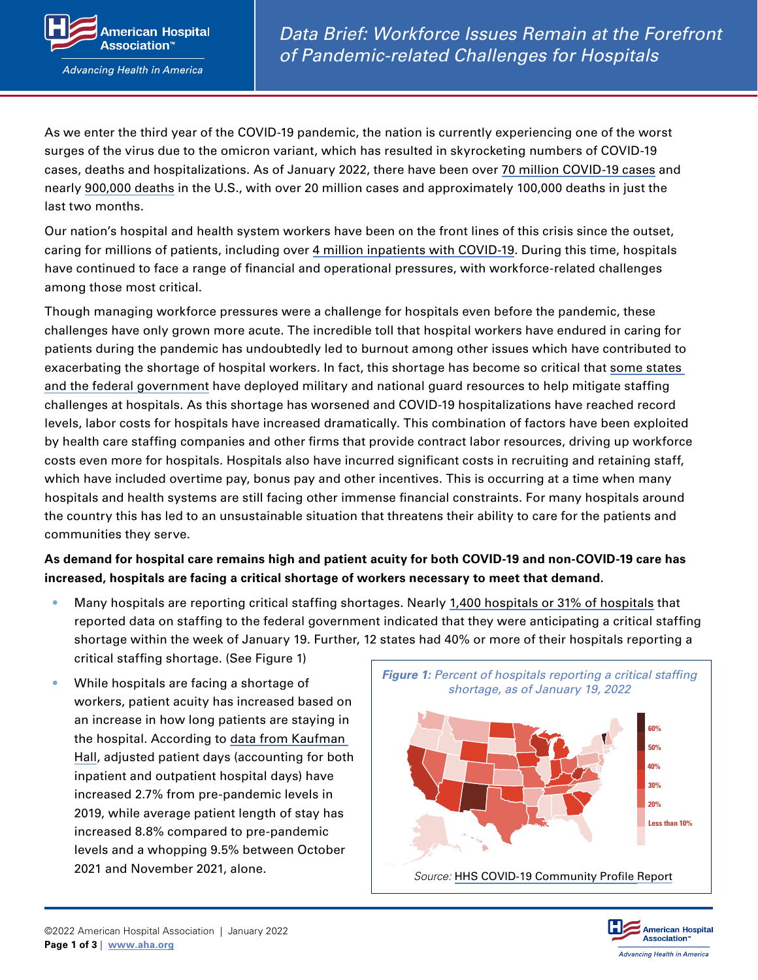

Advancing Health in America

As we enter the third year of the COVID-19 pandemic, the nation is currently experiencing one of the worst surges of the virus due to the omicron variant, which has resulted in skyrocketing numbers of COVID-19 cases, deaths and hospitalizations. As of January 2022, there have been over [70 million COVID-19 cases](https://coronavirus.jhu.edu/map.html) and nearly [900,000 deaths](https://coronavirus.jhu.edu/map.html) in the U.S., with over 20 million cases and approximately 100,000 deaths in just the last two months.

Our nation's hospital and health system workers have been on the front lines of this crisis since the outset, caring for millions of patients, including over [4 million inpatients with COVID-19.](https://covid.cdc.gov/covid-data-tracker/#new-hospital-admissions) During this time, hospitals have continued to face a range of financial and operational pressures, with workforce-related challenges among those most critical.

Though managing workforce pressures were a challenge for hospitals even before the pandemic, these challenges have only grown more acute. The incredible toll that hospital workers have endured in caring for patients during the pandemic has undoubtedly led to burnout among other issues which have contributed to exacerbating the shortage of hospital workers. In fact, this shortage has become so critical that [some states](https://www.nytimes.com/live/2022/01/14/world/omicron-covid-vaccine-tests?auth=login-google)  [and the federal government](https://www.nytimes.com/live/2022/01/14/world/omicron-covid-vaccine-tests?auth=login-google) have deployed military and national guard resources to help mitigate staffing challenges at hospitals. As this shortage has worsened and COVID-19 hospitalizations have reached record levels, labor costs for hospitals have increased dramatically. This combination of factors have been exploited by health care staffing companies and other firms that provide contract labor resources, driving up workforce costs even more for hospitals. Hospitals also have incurred significant costs in recruiting and retaining staff, which have included overtime pay, bonus pay and other incentives. This is occurring at a time when many hospitals and health systems are still facing other immense financial constraints. For many hospitals around the country this has led to an unsustainable situation that threatens their ability to care for the patients and communities they serve.

## **As demand for hospital care remains high and patient acuity for both COVID-19 and non-COVID-19 care has increased, hospitals are facing a critical shortage of workers necessary to meet that demand.**

- Many hospitals are reporting critical staffing shortages. Nearly [1,400 hospitals or 31% of hospitals](https://healthdata.gov/Hospital/COVID-19-Reported-Patient-Impact-and-Hospital-Capa/g62h-syeh) that reported data on staffing to the federal government indicated that they were anticipating a critical staffing shortage within the week of January 19. Further, 12 states had 40% or more of their hospitals reporting a critical staffing shortage. (See Figure 1)
- While hospitals are facing a shortage of workers, patient acuity has increased based on an increase in how long patients are staying in the hospital. According to [data from Kaufman](https://www.kaufmanhall.com/sites/default/files/2021-12/Dec2021-National-Hospital-Flash-Report.pdf)  [Hall](https://www.kaufmanhall.com/sites/default/files/2021-12/Dec2021-National-Hospital-Flash-Report.pdf), adjusted patient days (accounting for both inpatient and outpatient hospital days) have increased 2.7% from pre-pandemic levels in 2019, while average patient length of stay has increased 8.8% compared to pre-pandemic levels and a whopping 9.5% between October



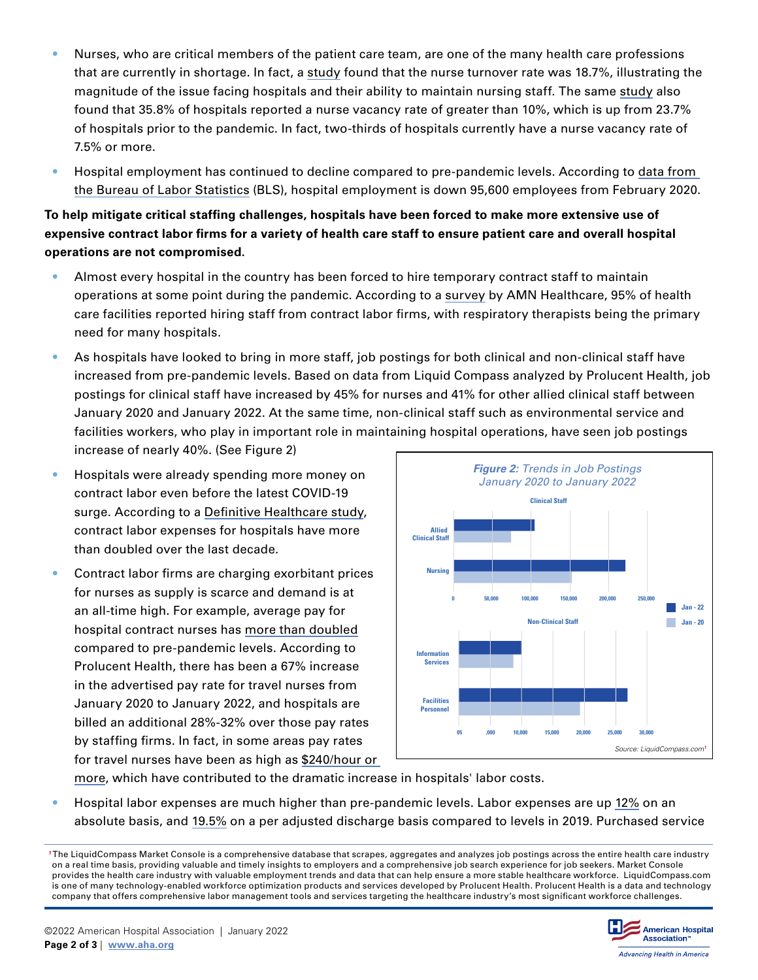- Nurses, who are critical members of the patient care team, are one of the many health care professions that are currently in shortage. In fact, a [study](https://www.nsinursingsolutions.com/Documents/Library/NSI_National_Health_Care_Retention_Report.pdf) found that the nurse turnover rate was 18.7%, illustrating the magnitude of the issue facing hospitals and their ability to maintain nursing staff. The same [study](https://www.nsinursingsolutions.com/Documents/Library/NSI_National_Health_Care_Retention_Report.pdf) also found that 35.8% of hospitals reported a nurse vacancy rate of greater than 10%, which is up from 23.7% of hospitals prior to the pandemic. In fact, two-thirds of hospitals currently have a nurse vacancy rate of 7.5% or more.
- Hospital employment has continued to decline compared to pre-pandemic levels. According to [data from](https://altarum.org/sites/default/files/uploaded-publication-files/HSEI-Labor-Brief_Jan%202022.pdf)  [the Bureau of Labor Statistics](https://altarum.org/sites/default/files/uploaded-publication-files/HSEI-Labor-Brief_Jan%202022.pdf) (BLS), hospital employment is down 95,600 employees from February 2020.

**To help mitigate critical staffing challenges, hospitals have been forced to make more extensive use of expensive contract labor firms for a variety of health care staff to ensure patient care and overall hospital operations are not compromised.**

- Almost every hospital in the country has been forced to hire temporary contract staff to maintain operations at some point during the pandemic. According to a [survey](https://www.amnhealthcare.com/amn-insights/surveys/survey-2021-temporary-allied-staffing-trends/) by AMN Healthcare, 95% of health care facilities reported hiring staff from contract labor firms, with respiratory therapists being the primary need for many hospitals.
- As hospitals have looked to bring in more staff, job postings for both clinical and non-clinical staff have increased from pre-pandemic levels. Based on data from Liquid Compass analyzed by Prolucent Health, job postings for clinical staff have increased by 45% for nurses and 41% for other allied clinical staff between January 2020 and January 2022. At the same time, non-clinical staff such as environmental service and facilities workers, who play in important role in maintaining hospital operations, have seen job postings increase of nearly 40%. (See Figure 2)
- Hospitals were already spending more money on contract labor even before the latest COVID-19 surge. According to a [Definitive Healthcare study,](https://www.definitivehc.com/resources/healthcare-insights/hospitals-by-highest-contract-labor-expenses) contract labor expenses for hospitals have more than doubled over the last decade.
- Contract labor firms are charging exorbitant prices for nurses as supply is scarce and demand is at an all-time high. For example, average pay for hospital contract nurses has [more than doubled](https://apnews.com/article/business-health-coronavirus-pandemic-b6d58e41b209dd67ed0954f28b542baf) compared to pre-pandemic levels. According to Prolucent Health, there has been a 67% increase in the advertised pay rate for travel nurses from January 2020 to January 2022, and hospitals are billed an additional 28%-32% over those pay rates by staffing firms. In fact, in some areas pay rates for travel nurses have been as high as [\\$240/hour or](https://www.8newsnow.com/news/health/coronavirus-health/rates-for-temporary-nurses-climb-as-high-as-240-per-hour-investigation-urged/)



[more](https://www.8newsnow.com/news/health/coronavirus-health/rates-for-temporary-nurses-climb-as-high-as-240-per-hour-investigation-urged/), which have contributed to the dramatic increase in hospitals' labor costs.

• Hospital labor expenses are much higher than pre-pandemic levels. Labor expenses are up [12%](https://www.kaufmanhall.com/sites/default/files/2021-12/Dec2021-National-Hospital-Flash-Report.pdf) on an absolute basis, and [19.5%](https://www.kaufmanhall.com/sites/default/files/2021-12/Dec2021-National-Hospital-Flash-Report.pdf) on a per adjusted discharge basis compared to levels in 2019. Purchased service

*<sup>1</sup>*The LiquidCompass Market Console is a comprehensive database that scrapes, aggregates and analyzes job postings across the entire health care industry on a real time basis, providing valuable and timely insights to employers and a comprehensive job search experience for job seekers. Market Console provides the health care industry with valuable employment trends and data that can help ensure a more stable healthcare workforce. LiquidCompass.com is one of many technology-enabled workforce optimization products and services developed by Prolucent Health. Prolucent Health is a data and technology company that offers comprehensive labor management tools and services targeting the healthcare industry's most significant workforce challenges.